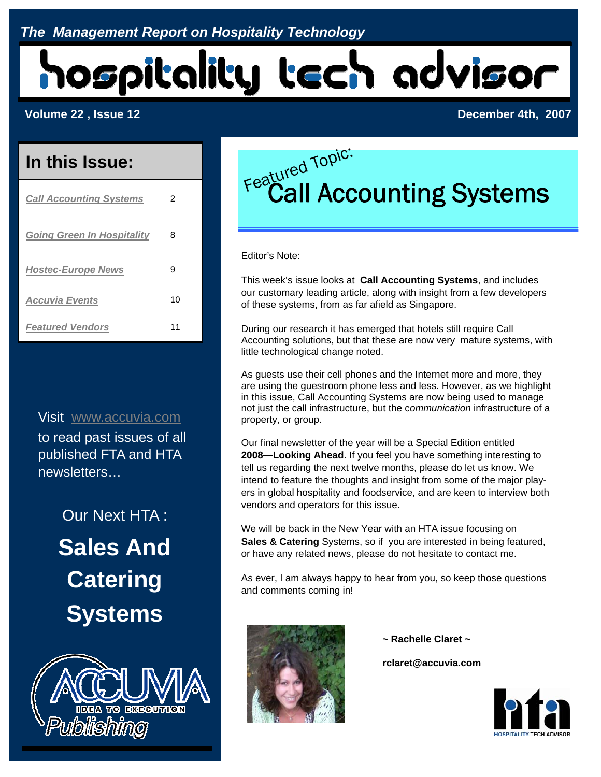# hospitality tech advisor

#### **Volume 22 , Issue 12 December 4th, 2007**

### **In this Issue:**

| <b>Call Accounting Systems</b>    | 2  |
|-----------------------------------|----|
| <b>Going Green In Hospitality</b> | 8  |
| <b>Hostec-Europe News</b>         | 9  |
| <b>Accuvia Events</b>             | 10 |
| <b>Featured Vendors</b>           | 11 |

Visit www.accuvia.com to read past issues of all published FTA and HTA newsletters…

> Our Next HTA : **Sales And Catering Systems**



# Featured Topic:<br>Featured Topic:<br>Call Accounting Systems

Editor's Note:

This week's issue looks at **Call Accounting Systems**, and includes our customary leading article, along with insight from a few developers of these systems, from as far afield as Singapore.

During our research it has emerged that hotels still require Call Accounting solutions, but that these are now very mature systems, with little technological change noted.

As guests use their cell phones and the Internet more and more, they are using the guestroom phone less and less. However, as we highlight in this issue, Call Accounting Systems are now being used to manage not just the call infrastructure, but the c*ommunication* infrastructure of a property, or group.

Our final newsletter of the year will be a Special Edition entitled **2008—Looking Ahead**. If you feel you have something interesting to tell us regarding the next twelve months, please do let us know. We intend to feature the thoughts and insight from some of the major players in global hospitality and foodservice, and are keen to interview both vendors and operators for this issue.

We will be back in the New Year with an HTA issue focusing on **Sales & Catering** Systems, so if you are interested in being featured, or have any related news, please do not hesitate to contact me.

As ever, I am always happy to hear from you, so keep those questions and comments coming in!



 **~ Rachelle Claret ~** 

 **rclaret@accuvia.com** 

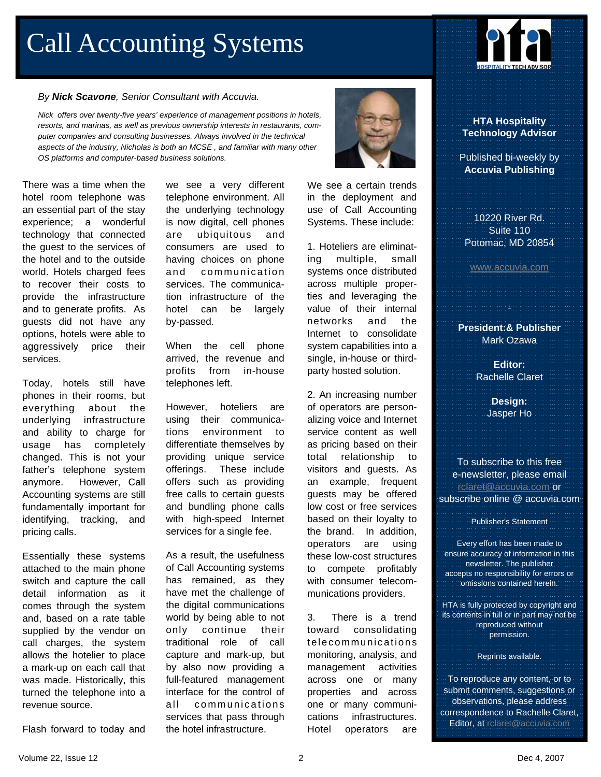# Call Accounting Systems

#### *By Nick Scavone, Senior Consultant with Accuvia.*

*Nick offers over twenty-five years' experience of management positions in hotels, resorts, and marinas, as well as previous ownership interests in restaurants, computer companies and consulting businesses. Always involved in the technical aspects of the industry, Nicholas is both an MCSE , and familiar with many other OS platforms and computer-based business solutions.* 

There was a time when the hotel room telephone was an essential part of the stay experience; a wonderful technology that connected the guest to the services of the hotel and to the outside world. Hotels charged fees to recover their costs to provide the infrastructure and to generate profits. As guests did not have any options, hotels were able to aggressively price their services.

Today, hotels still have phones in their rooms, but everything about the underlying infrastructure and ability to charge for usage has completely changed. This is not your father's telephone system anymore. However, Call Accounting systems are still fundamentally important for identifying, tracking, and pricing calls.

Essentially these systems attached to the main phone switch and capture the call detail information as it comes through the system and, based on a rate table supplied by the vendor on call charges, the system allows the hotelier to place a mark-up on each call that was made. Historically, this turned the telephone into a revenue source.

Flash forward to today and

we see a very different telephone environment. All the underlying technology is now digital, cell phones are ubiquitous and consumers are used to having choices on phone and communication services. The communication infrastructure of the hotel can be largely by-passed.

When the cell phone arrived, the revenue and profits from in-house telephones left.

However, hoteliers are using their communications environment to differentiate themselves by providing unique service offerings. These include offers such as providing free calls to certain guests and bundling phone calls with high-speed Internet services for a single fee.

As a result, the usefulness of Call Accounting systems has remained, as they have met the challenge of the digital communications world by being able to not only continue their traditional role of call capture and mark-up, but by also now providing a full-featured management interface for the control of all communications services that pass through the hotel infrastructure.



We see a certain trends in the deployment and use of Call Accounting Systems. These include:

1. Hoteliers are eliminating multiple, small systems once distributed across multiple properties and leveraging the value of their internal networks and the Internet to consolidate system capabilities into a single, in-house or thirdparty hosted solution.

2. An increasing number of operators are personalizing voice and Internet service content as well as pricing based on their total relationship to visitors and guests. As an example, frequent guests may be offered low cost or free services based on their loyalty to the brand. In addition, operators are using these low-cost structures to compete profitably with consumer telecommunications providers.

3. There is a trend toward consolidating telecommunic ations monitoring, analysis, and management activities across one or many properties and across one or many communications infrastructures. Hotel operators are



**HTA Hospitality Technology Advisor** 

Published bi-weekly by **Accuvia Publishing** 

10220 River Rd. Suite 110 Potomac, MD 20854

www.accuvia.com

**President:& Publisher** Mark Ozawa

.

**Editor:** Rachelle Claret

> **Design:**  Jasper Ho

To subscribe to this free e-newsletter, please email rclaret@accuvia.com or subscribe online @ accuvia.com

Publisher's Statement

Every effort has been made to ensure accuracy of information in this newsletter. The publisher accepts no responsibility for errors or omissions contained herein.

HTA is fully protected by copyright and its contents in full or in part may not be reproduced without permission.

Reprints available.

To reproduce any content, or to submit comments, suggestions or observations, please address correspondence to Rachelle Claret, Editor, at rclaret@accuvia.com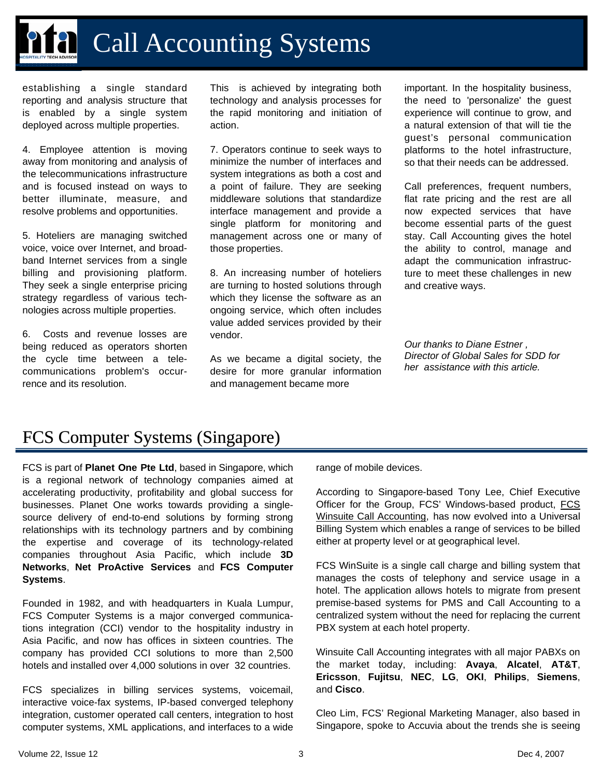# Call Accounting Systems

establishing a single standard reporting and analysis structure that is enabled by a single system deployed across multiple properties.

4. Employee attention is moving away from monitoring and analysis of the telecommunications infrastructure and is focused instead on ways to better illuminate, measure, and resolve problems and opportunities.

5. Hoteliers are managing switched voice, voice over Internet, and broadband Internet services from a single billing and provisioning platform. They seek a single enterprise pricing strategy regardless of various technologies across multiple properties.

6. Costs and revenue losses are being reduced as operators shorten the cycle time between a telecommunications problem's occurrence and its resolution.

This is achieved by integrating both technology and analysis processes for the rapid monitoring and initiation of action.

7. Operators continue to seek ways to minimize the number of interfaces and system integrations as both a cost and a point of failure. They are seeking middleware solutions that standardize interface management and provide a single platform for monitoring and management across one or many of those properties.

8. An increasing number of hoteliers are turning to hosted solutions through which they license the software as an ongoing service, which often includes value added services provided by their vendor.

As we became a digital society, the desire for more granular information and management became more

important. In the hospitality business, the need to 'personalize' the guest experience will continue to grow, and a natural extension of that will tie the guest's personal communication platforms to the hotel infrastructure, so that their needs can be addressed.

Call preferences, frequent numbers, flat rate pricing and the rest are all now expected services that have become essential parts of the guest stay. Call Accounting gives the hotel the ability to control, manage and adapt the communication infrastructure to meet these challenges in new and creative ways.

*Our thanks to Diane Estner , Director of Global Sales for SDD for her assistance with this article.* 

## FCS Computer Systems (Singapore) FCS Computer Systems (Singapore)

FCS is part of **Planet One Pte Ltd**, based in Singapore, which is a regional network of technology companies aimed at accelerating productivity, profitability and global success for businesses. Planet One works towards providing a singlesource delivery of end-to-end solutions by forming strong relationships with its technology partners and by combining the expertise and coverage of its technology-related companies throughout Asia Pacific, which include **3D Networks**, **Net ProActive Services** and **FCS Computer Systems**.

Founded in 1982, and with headquarters in Kuala Lumpur, FCS Computer Systems is a major converged communications integration (CCI) vendor to the hospitality industry in Asia Pacific, and now has offices in sixteen countries. The company has provided CCI solutions to more than 2,500 hotels and installed over 4,000 solutions in over 32 countries.

FCS specializes in billing services systems, voicemail, interactive voice-fax systems, IP-based converged telephony integration, customer operated call centers, integration to host computer systems, XML applications, and interfaces to a wide

range of mobile devices.

According to Singapore-based Tony Lee, Chief Executive Officer for the Group, FCS' Windows-based product, FCS Winsuite Call Accounting, has now evolved into a Universal Billing System which enables a range of services to be billed either at property level or at geographical level.

FCS WinSuite is a single call charge and billing system that manages the costs of telephony and service usage in a hotel. The application allows hotels to migrate from present premise-based systems for PMS and Call Accounting to a centralized system without the need for replacing the current PBX system at each hotel property.

Winsuite Call Accounting integrates with all major PABXs on the market today, including: **Avaya**, **Alcatel**, **AT&T**, **Ericsson**, **Fujitsu**, **NEC**, **LG**, **OKI**, **Philips**, **Siemens**, and **Cisco**.

Cleo Lim, FCS' Regional Marketing Manager, also based in Singapore, spoke to Accuvia about the trends she is seeing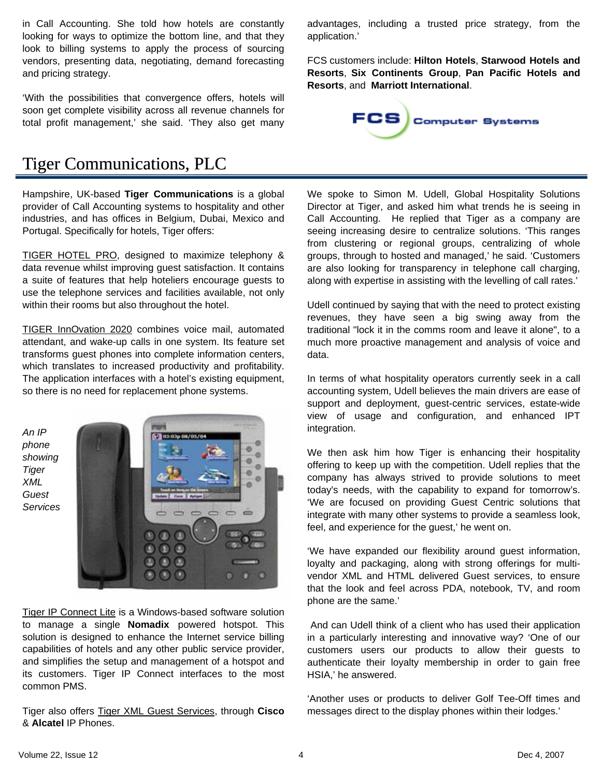in Call Accounting. She told how hotels are constantly looking for ways to optimize the bottom line, and that they look to billing systems to apply the process of sourcing vendors, presenting data, negotiating, demand forecasting and pricing strategy.

'With the possibilities that convergence offers, hotels will soon get complete visibility across all revenue channels for total profit management,' she said. 'They also get many advantages, including a trusted price strategy, from the application.'

FCS customers include: **Hilton Hotels**, **Starwood Hotels and Resorts**, **Six Continents Group**, **Pan Pacific Hotels and Resorts**, and **Marriott International**.



### Tiger Communications, PLC

Hampshire, UK-based **Tiger Communications** is a global provider of Call Accounting systems to hospitality and other industries, and has offices in Belgium, Dubai, Mexico and Portugal. Specifically for hotels, Tiger offers:

TIGER HOTEL PRO, designed to maximize telephony & data revenue whilst improving guest satisfaction. It contains a suite of features that help hoteliers encourage guests to use the telephone services and facilities available, not only within their rooms but also throughout the hotel.

TIGER InnOvation 2020 combines voice mail, automated attendant, and wake-up calls in one system. Its feature set transforms guest phones into complete information centers, which translates to increased productivity and profitability. The application interfaces with a hotel's existing equipment, so there is no need for replacement phone systems.



Tiger IP Connect Lite is a Windows-based software solution to manage a single **Nomadix** powered hotspot. This solution is designed to enhance the Internet service billing capabilities of hotels and any other public service provider, and simplifies the setup and management of a hotspot and its customers. Tiger IP Connect interfaces to the most common PMS.

Tiger also offers Tiger XML Guest Services, through **Cisco** & **Alcatel** IP Phones.

We spoke to Simon M. Udell, Global Hospitality Solutions Director at Tiger, and asked him what trends he is seeing in Call Accounting. He replied that Tiger as a company are seeing increasing desire to centralize solutions. 'This ranges from clustering or regional groups, centralizing of whole groups, through to hosted and managed,' he said. 'Customers are also looking for transparency in telephone call charging, along with expertise in assisting with the levelling of call rates.'

Udell continued by saying that with the need to protect existing revenues, they have seen a big swing away from the traditional "lock it in the comms room and leave it alone", to a much more proactive management and analysis of voice and data.

In terms of what hospitality operators currently seek in a call accounting system, Udell believes the main drivers are ease of support and deployment, guest-centric services, estate-wide view of usage and configuration, and enhanced IPT integration.

We then ask him how Tiger is enhancing their hospitality offering to keep up with the competition. Udell replies that the company has always strived to provide solutions to meet today's needs, with the capability to expand for tomorrow's. 'We are focused on providing Guest Centric solutions that integrate with many other systems to provide a seamless look, feel, and experience for the guest,' he went on.

'We have expanded our flexibility around guest information, loyalty and packaging, along with strong offerings for multivendor XML and HTML delivered Guest services, to ensure that the look and feel across PDA, notebook, TV, and room phone are the same.'

 And can Udell think of a client who has used their application in a particularly interesting and innovative way? 'One of our customers users our products to allow their guests to authenticate their loyalty membership in order to gain free HSIA,' he answered.

'Another uses or products to deliver Golf Tee-Off times and messages direct to the display phones within their lodges.'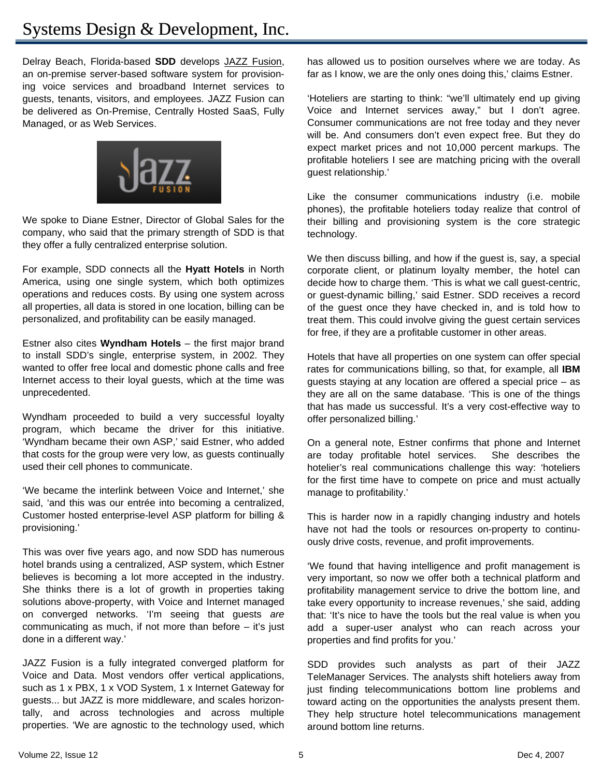Delray Beach, Florida-based **SDD** develops JAZZ Fusion, an on-premise server-based software system for provisioning voice services and broadband Internet services to guests, tenants, visitors, and employees. JAZZ Fusion can be delivered as On-Premise, Centrally Hosted SaaS, Fully Managed, or as Web Services.



We spoke to Diane Estner, Director of Global Sales for the company, who said that the primary strength of SDD is that they offer a fully centralized enterprise solution.

For example, SDD connects all the **Hyatt Hotels** in North America, using one single system, which both optimizes operations and reduces costs. By using one system across all properties, all data is stored in one location, billing can be personalized, and profitability can be easily managed.

Estner also cites **Wyndham Hotels** – the first major brand to install SDD's single, enterprise system, in 2002. They wanted to offer free local and domestic phone calls and free Internet access to their loyal guests, which at the time was unprecedented.

Wyndham proceeded to build a very successful loyalty program, which became the driver for this initiative. 'Wyndham became their own ASP,' said Estner, who added that costs for the group were very low, as guests continually used their cell phones to communicate.

'We became the interlink between Voice and Internet,' she said, 'and this was our entrée into becoming a centralized, Customer hosted enterprise-level ASP platform for billing & provisioning.'

This was over five years ago, and now SDD has numerous hotel brands using a centralized, ASP system, which Estner believes is becoming a lot more accepted in the industry. She thinks there is a lot of growth in properties taking solutions above-property, with Voice and Internet managed on converged networks. 'I'm seeing that guests *are*  communicating as much, if not more than before  $-$  it's just done in a different way.'

JAZZ Fusion is a fully integrated converged platform for Voice and Data. Most vendors offer vertical applications, such as 1 x PBX, 1 x VOD System, 1 x Internet Gateway for guests... but JAZZ is more middleware, and scales horizontally, and across technologies and across multiple properties. 'We are agnostic to the technology used, which has allowed us to position ourselves where we are today. As far as I know, we are the only ones doing this,' claims Estner.

'Hoteliers are starting to think: "we'll ultimately end up giving Voice and Internet services away," but I don't agree. Consumer communications are not free today and they never will be. And consumers don't even expect free. But they do expect market prices and not 10,000 percent markups. The profitable hoteliers I see are matching pricing with the overall guest relationship.'

Like the consumer communications industry (i.e. mobile phones), the profitable hoteliers today realize that control of their billing and provisioning system is the core strategic technology.

We then discuss billing, and how if the guest is, say, a special corporate client, or platinum loyalty member, the hotel can decide how to charge them. 'This is what we call guest-centric, or guest-dynamic billing,' said Estner. SDD receives a record of the guest once they have checked in, and is told how to treat them. This could involve giving the guest certain services for free, if they are a profitable customer in other areas.

Hotels that have all properties on one system can offer special rates for communications billing, so that, for example, all **IBM**  guests staying at any location are offered a special price – as they are all on the same database. 'This is one of the things that has made us successful. It's a very cost-effective way to offer personalized billing.'

On a general note, Estner confirms that phone and Internet are today profitable hotel services. She describes the hotelier's real communications challenge this way: 'hoteliers for the first time have to compete on price and must actually manage to profitability.'

This is harder now in a rapidly changing industry and hotels have not had the tools or resources on-property to continuously drive costs, revenue, and profit improvements.

'We found that having intelligence and profit management is very important, so now we offer both a technical platform and profitability management service to drive the bottom line, and take every opportunity to increase revenues,' she said, adding that: 'It's nice to have the tools but the real value is when you add a super-user analyst who can reach across your properties and find profits for you.'

SDD provides such analysts as part of their JAZZ TeleManager Services. The analysts shift hoteliers away from just finding telecommunications bottom line problems and toward acting on the opportunities the analysts present them. They help structure hotel telecommunications management around bottom line returns.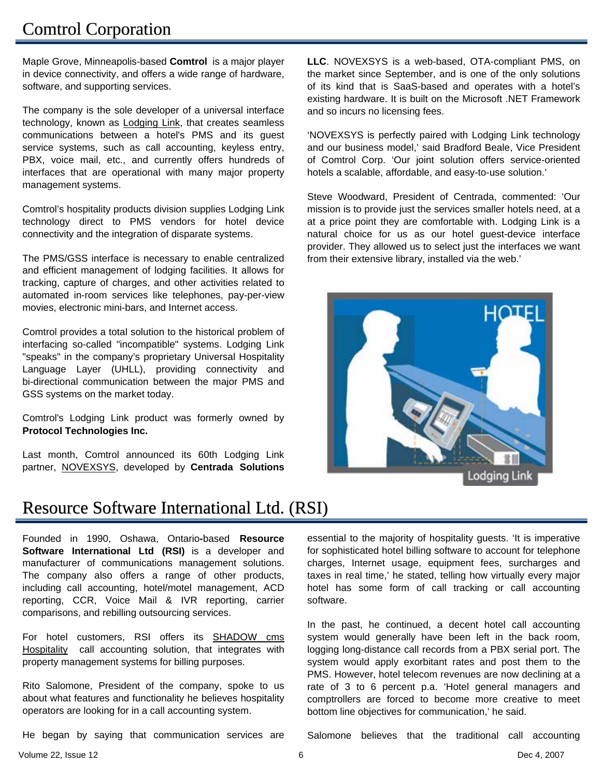## **Comtrol Corporation**

Maple Grove, Minneapolis-based **Comtrol** is a major player in device connectivity, and offers a wide range of hardware, software, and supporting services.

The company is the sole developer of a universal interface technology, known as **Lodging Link**, that creates seamless communications between a hotel's PMS and its guest service systems, such as call accounting, keyless entry, PBX, voice mail, etc., and currently offers hundreds of interfaces that are operational with many major property management systems.

Comtrol's hospitality products division supplies Lodging Link technology direct to PMS vendors for hotel device connectivity and the integration of disparate systems.

The PMS/GSS interface is necessary to enable centralized and efficient management of lodging facilities. It allows for tracking, capture of charges, and other activities related to automated in-room services like telephones, pay-per-view movies, electronic mini-bars, and Internet access.

Comtrol provides a total solution to the historical problem of interfacing so-called "incompatible" systems. Lodging Link "speaks" in the company's proprietary Universal Hospitality Language Layer (UHLL), providing connectivity and bi-directional communication between the major PMS and GSS systems on the market today.

Comtrol's Lodging Link product was formerly owned by **Protocol Technologies Inc.**

Last month, Comtrol announced its 60th Lodging Link partner, NOVEXSYS, developed by **Centrada Solutions**  **LLC**. NOVEXSYS is a web-based, OTA-compliant PMS, on the market since September, and is one of the only solutions of its kind that is SaaS-based and operates with a hotel's existing hardware. It is built on the Microsoft .NET Framework and so incurs no licensing fees.

'NOVEXSYS is perfectly paired with Lodging Link technology and our business model,' said Bradford Beale, Vice President of Comtrol Corp. 'Our joint solution offers service-oriented hotels a scalable, affordable, and easy-to-use solution.'

Steve Woodward, President of Centrada, commented: 'Our mission is to provide just the services smaller hotels need, at a at a price point they are comfortable with. Lodging Link is a natural choice for us as our hotel guest-device interface provider. They allowed us to select just the interfaces we want from their extensive library, installed via the web.'



Lodging Link

#### Resource Software International Ltd. (RSI)

Founded in 1990, Oshawa, Ontario**-**based **Resource Software International Ltd (RSI)** is a developer and manufacturer of communications management solutions. The company also offers a range of other products, including call accounting, hotel/motel management, ACD reporting, CCR, Voice Mail & IVR reporting, carrier comparisons, and rebilling outsourcing services.

For hotel customers, RSI offers its **SHADOW** cms Hospitality call accounting solution, that integrates with property management systems for billing purposes.

Rito Salomone, President of the company, spoke to us about what features and functionality he believes hospitality operators are looking for in a call accounting system.

He began by saying that communication services are

essential to the majority of hospitality guests. 'It is imperative for sophisticated hotel billing software to account for telephone charges, Internet usage, equipment fees, surcharges and taxes in real time,' he stated, telling how virtually every major hotel has some form of call tracking or call accounting software.

In the past, he continued, a decent hotel call accounting system would generally have been left in the back room, logging long-distance call records from a PBX serial port. The system would apply exorbitant rates and post them to the PMS. However, hotel telecom revenues are now declining at a rate of 3 to 6 percent p.a. 'Hotel general managers and comptrollers are forced to become more creative to meet bottom line objectives for communication,' he said.

Volume 22, Issue 12 6 Dec 4, 2007

Salomone believes that the traditional call accounting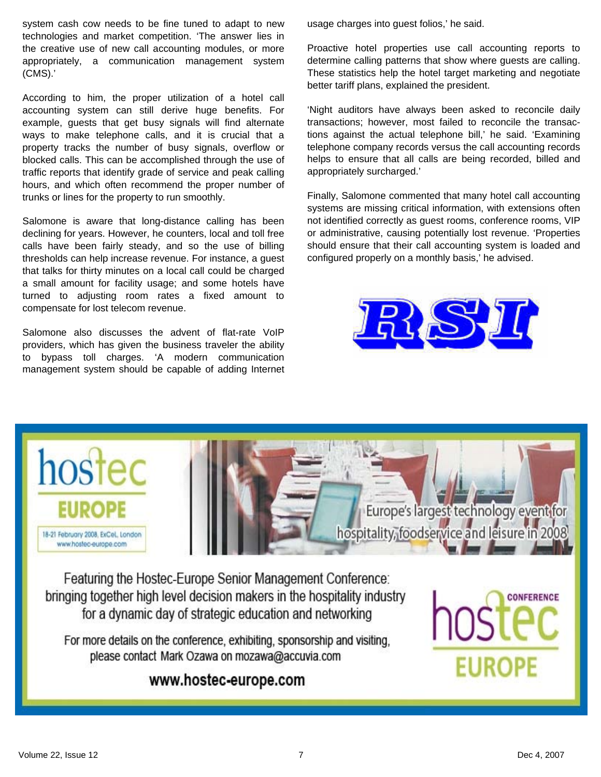system cash cow needs to be fine tuned to adapt to new technologies and market competition. 'The answer lies in the creative use of new call accounting modules, or more appropriately, a communication management system (CMS).'

According to him, the proper utilization of a hotel call accounting system can still derive huge benefits. For example, guests that get busy signals will find alternate ways to make telephone calls, and it is crucial that a property tracks the number of busy signals, overflow or blocked calls. This can be accomplished through the use of traffic reports that identify grade of service and peak calling hours, and which often recommend the proper number of trunks or lines for the property to run smoothly.

Salomone is aware that long-distance calling has been declining for years. However, he counters, local and toll free calls have been fairly steady, and so the use of billing thresholds can help increase revenue. For instance, a guest that talks for thirty minutes on a local call could be charged a small amount for facility usage; and some hotels have turned to adjusting room rates a fixed amount to compensate for lost telecom revenue.

Salomone also discusses the advent of flat-rate VoIP providers, which has given the business traveler the ability to bypass toll charges. 'A modern communication management system should be capable of adding Internet usage charges into guest folios,' he said.

Proactive hotel properties use call accounting reports to determine calling patterns that show where guests are calling. These statistics help the hotel target marketing and negotiate better tariff plans, explained the president.

'Night auditors have always been asked to reconcile daily transactions; however, most failed to reconcile the transactions against the actual telephone bill,' he said. 'Examining telephone company records versus the call accounting records helps to ensure that all calls are being recorded, billed and appropriately surcharged.'

Finally, Salomone commented that many hotel call accounting systems are missing critical information, with extensions often not identified correctly as guest rooms, conference rooms, VIP or administrative, causing potentially lost revenue. 'Properties should ensure that their call accounting system is loaded and configured properly on a monthly basis,' he advised.





Featuring the Hostec-Europe Senior Management Conference: bringing together high level decision makers in the hospitality industry for a dynamic day of strategic education and networking

For more details on the conference, exhibiting, sponsorship and visiting, please contact Mark Ozawa on mozawa@accuvia.com

#### www.hostec-europe.com

Volume 22, Issue 12 7 Dec 4, 2007

**EUROPE**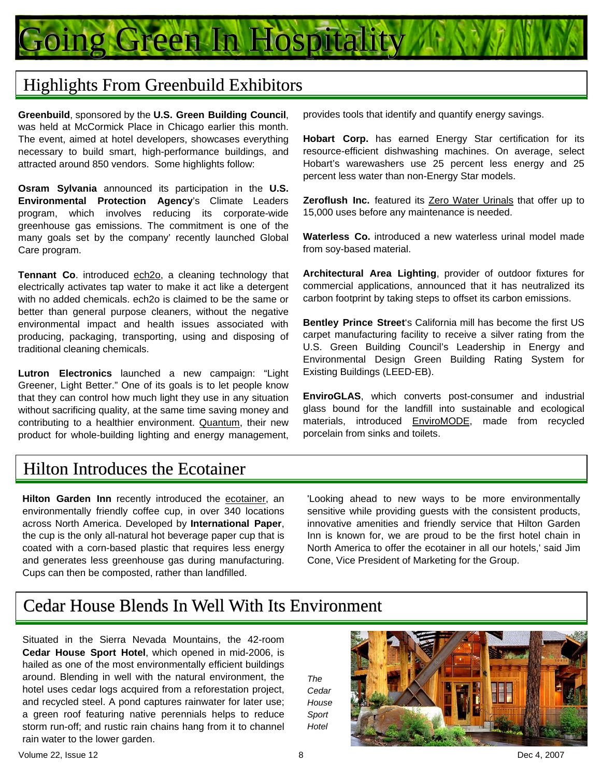

#### Highlights From Greenbuild Exhibitors

**Greenbuild**, sponsored by the **U.S. Green Building Council**, was held at McCormick Place in Chicago earlier this month. The event, aimed at hotel developers, showcases everything necessary to build smart, high-performance buildings, and attracted around 850 vendors. Some highlights follow:

**Osram Sylvania** announced its participation in the **U.S. Environmental Protection Agency**'s Climate Leaders program, which involves reducing its corporate-wide greenhouse gas emissions. The commitment is one of the many goals set by the company' recently launched Global Care program.

Tennant Co. introduced ech<sub>20</sub>, a cleaning technology that electrically activates tap water to make it act like a detergent with no added chemicals. ech2o is claimed to be the same or better than general purpose cleaners, without the negative environmental impact and health issues associated with producing, packaging, transporting, using and disposing of traditional cleaning chemicals.

**Lutron Electronics** launched a new campaign: "Light Greener, Light Better." One of its goals is to let people know that they can control how much light they use in any situation without sacrificing quality, at the same time saving money and contributing to a healthier environment. Quantum, their new product for whole-building lighting and energy management,

provides tools that identify and quantify energy savings.

**Hobart Corp.** has earned Energy Star certification for its resource-efficient dishwashing machines. On average, select Hobart's warewashers use 25 percent less energy and 25 percent less water than non-Energy Star models.

**Zeroflush Inc.** featured its Zero Water Urinals that offer up to 15,000 uses before any maintenance is needed.

**Waterless Co.** introduced a new waterless urinal model made from soy-based material.

**Architectural Area Lighting**, provider of outdoor fixtures for commercial applications, announced that it has neutralized its carbon footprint by taking steps to offset its carbon emissions.

**Bentley Prince Street**'s California mill has become the first US carpet manufacturing facility to receive a silver rating from the U.S. Green Building Council's Leadership in Energy and Environmental Design Green Building Rating System for Existing Buildings (LEED-EB).

**EnviroGLAS**, which converts post-consumer and industrial glass bound for the landfill into sustainable and ecological materials, introduced **EnviroMODE**, made from recycled porcelain from sinks and toilets.

#### Hilton Introduces the Ecotainer

**Hilton Garden Inn** recently introduced the ecotainer, an environmentally friendly coffee cup, in over 340 locations across North America. Developed by **International Paper**, the cup is the only all-natural hot beverage paper cup that is coated with a corn-based plastic that requires less energy and generates less greenhouse gas during manufacturing. Cups can then be composted, rather than landfilled.

'Looking ahead to new ways to be more environmentally sensitive while providing guests with the consistent products, innovative amenities and friendly service that Hilton Garden Inn is known for, we are proud to be the first hotel chain in North America to offer the ecotainer in all our hotels,' said Jim Cone, Vice President of Marketing for the Group.

#### Cedar House Blends In Well With Its Environment

Situated in the Sierra Nevada Mountains, the 42-room **Cedar House Sport Hotel**, which opened in mid-2006, is hailed as one of the most environmentally efficient buildings around. Blending in well with the natural environment, the hotel uses cedar logs acquired from a reforestation project, and recycled steel. A pond captures rainwater for later use; a green roof featuring native perennials helps to reduce storm run-off; and rustic rain chains hang from it to channel rain water to the lower garden.



*The* 

*Sport Hotel*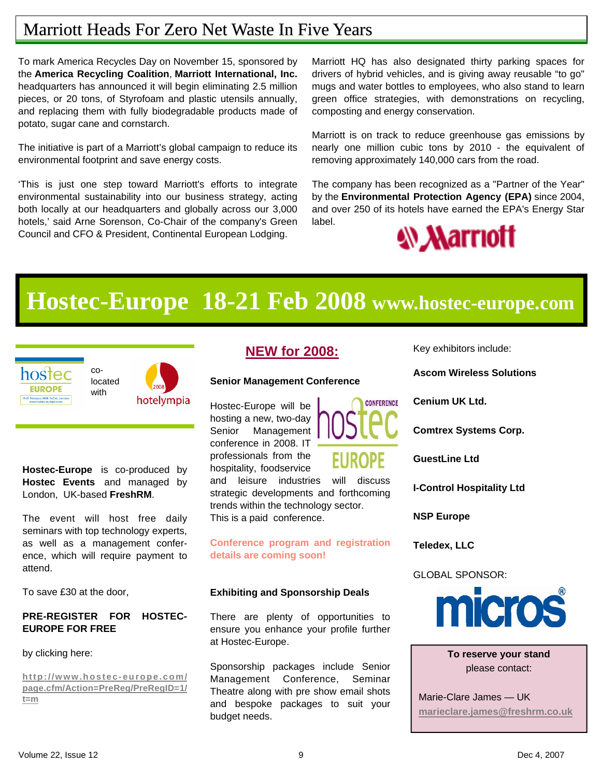# Marriott Heads For Zero Net Waste In Five Years

To mark America Recycles Day on November 15, sponsored by the **America Recycling Coalition**, **Marriott International, Inc.** headquarters has announced it will begin eliminating 2.5 million pieces, or 20 tons, of Styrofoam and plastic utensils annually, and replacing them with fully biodegradable products made of potato, sugar cane and cornstarch.

The initiative is part of a Marriott's global campaign to reduce its environmental footprint and save energy costs.

'This is just one step toward Marriott's efforts to integrate environmental sustainability into our business strategy, acting both locally at our headquarters and globally across our 3,000 hotels,' said Arne Sorenson, Co-Chair of the company's Green Council and CFO & President, Continental European Lodging.

Marriott HQ has also designated thirty parking spaces for drivers of hybrid vehicles, and is giving away reusable "to go" mugs and water bottles to employees, who also stand to learn green office strategies, with demonstrations on recycling, composting and energy conservation.

Marriott is on track to reduce greenhouse gas emissions by nearly one million cubic tons by 2010 - the equivalent of removing approximately 140,000 cars from the road.

The company has been recognized as a "Partner of the Year" by the **Environmental Protection Agency (EPA)** since 2004, and over 250 of its hotels have earned the EPA's Energy Star label.



# **Hostec-Europe 18-21 Feb 2008 www.hostec-europe.com**



**Hostec-Europe** is co-produced by **Hostec Events** and managed by London, UK-based **FreshRM**.

The event will host free daily seminars with top technology experts, as well as a management conference, which will require payment to attend.

To save £30 at the door,

#### **PRE-REGISTER FOR HOSTEC-EUROPE FOR FREE**

by clicking here:

**http://www.hostec-europe.com/ page.cfm/Action=PreReg/PreRegID=1/ t=m**

#### **NEW for 2008:**

#### **Senior Management Conference**

Hostec-Europe will be hosting a new, two-day Senior Management conference in 2008. IT professionals from the hospitality, foodservice



and leisure industries will discuss strategic developments and forthcoming trends within the technology sector. This is a paid conference.

**Conference program and registration details are coming soon!** 

#### **Exhibiting and Sponsorship Deals**

There are plenty of opportunities to ensure you enhance your profile further at Hostec-Europe.

Sponsorship packages include Senior Management Conference, Seminar Theatre along with pre show email shots and bespoke packages to suit your budget needs.

Key exhibitors include:

**Ascom Wireless Solutions** 

**Cenium UK Ltd.** 

**Comtrex Systems Corp.** 

**GuestLine Ltd** 

**I-Control Hospitality Ltd** 

**NSP Europe** 

**Teledex, LLC** 

GLOBAL SPONSOR:



**To reserve your stand** please contact:

Marie-Clare James — UK **marieclare.james@freshrm.co.uk**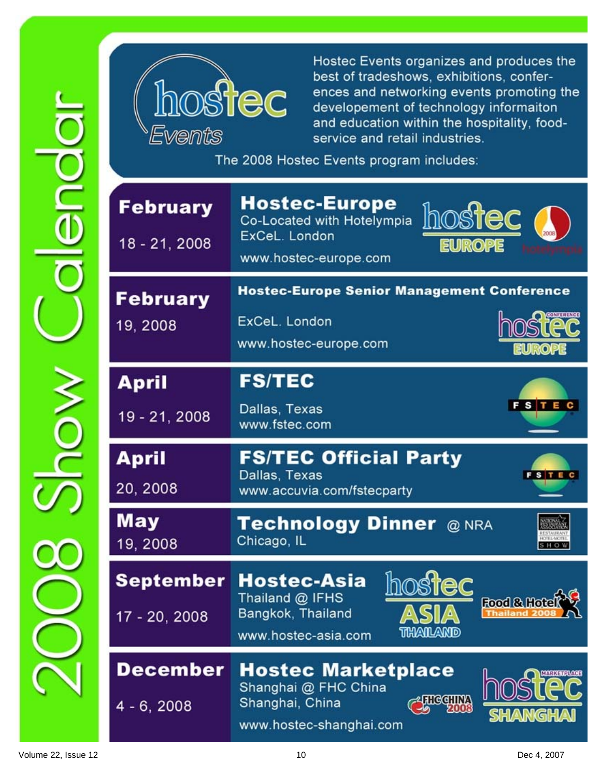

Hostec Events organizes and produces the best of tradeshows, exhibitions, conferences and networking events promoting the developement of technology informaiton and education within the hospitality, foodservice and retail industries.

The 2008 Hostec Events program includes:

| <b>February</b><br>18 - 21, 2008 | <b>Hostec-Europe</b><br><b>hostec</b><br>Co-Located with Hotelympia<br>ExCeL. London<br><b>EUROPE</b><br>www.hostec-europe.com |
|----------------------------------|--------------------------------------------------------------------------------------------------------------------------------|
| <b>February</b><br>19, 2008      | <b>Hostec-Europe Senior Management Conference</b><br>ExCeL. London<br>www.hostec-europe.com                                    |
| <b>April</b><br>19 - 21, 2008    | <b>FS/TEC</b><br>FSTEC<br>Dallas, Texas<br>www.fstec.com                                                                       |
| <b>April</b><br>20, 2008         | <b>FS/TEC Official Party</b><br>Dallas, Texas<br><b>FSTEC</b><br>www.accuvia.com/fstecparty                                    |
| May<br>19, 2008                  | Technology Dinner @ NRA<br>Chicago, IL                                                                                         |
| September<br>17 - 20, 2008       | Hostec-Asia<br>Thailand @ IFHS<br>Food &<br>Bangkok, Thailand<br>www.hostec-asia.com<br>urkailkanid                            |
| <b>December</b>                  | <b>Hostec Marketplace</b><br>Shanghai @ FHC China                                                                              |